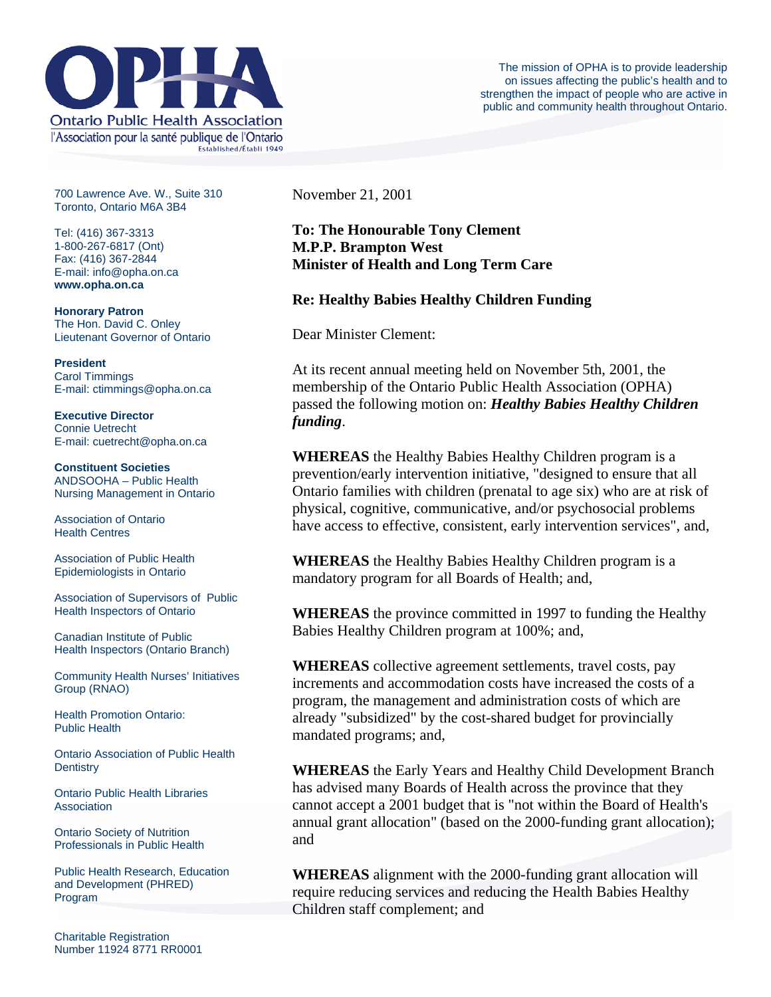

700 Lawrence Ave. W., Suite 310 Toronto, Ontario M6A 3B4

Tel: (416) 367-3313 1-800-267-6817 (Ont) Fax: (416) 367-2844 E-mail: info@opha.on.ca **www.opha.on.ca** 

**Honorary Patron**  The Hon. David C. Onley Lieutenant Governor of Ontario

**President**  Carol Timmings E-mail: ctimmings@opha.on.ca

**Executive Director**  Connie Uetrecht E-mail: cuetrecht@opha.on.ca

**Constituent Societies**  ANDSOOHA – Public Health Nursing Management in Ontario

Association of Ontario Health Centres

Association of Public Health Epidemiologists in Ontario

Association of Supervisors of Public Health Inspectors of Ontario

Canadian Institute of Public Health Inspectors (Ontario Branch)

Community Health Nurses' Initiatives Group (RNAO)

Health Promotion Ontario: Public Health

Ontario Association of Public Health **Dentistry** 

Ontario Public Health Libraries **Association** 

Ontario Society of Nutrition Professionals in Public Health

Public Health Research, Education and Development (PHRED) Program

Charitable Registration Number 11924 8771 RR0001 November 21, 2001

## **To: The Honourable Tony Clement M.P.P. Brampton West Minister of Health and Long Term Care**

## **Re: Healthy Babies Healthy Children Funding**

Dear Minister Clement:

At its recent annual meeting held on November 5th, 2001, the membership of the Ontario Public Health Association (OPHA) passed the following motion on: *Healthy Babies Healthy Children funding*.

**WHEREAS** the Healthy Babies Healthy Children program is a prevention/early intervention initiative, "designed to ensure that all Ontario families with children (prenatal to age six) who are at risk of physical, cognitive, communicative, and/or psychosocial problems have access to effective, consistent, early intervention services", and,

**WHEREAS** the Healthy Babies Healthy Children program is a mandatory program for all Boards of Health; and,

**WHEREAS** the province committed in 1997 to funding the Healthy Babies Healthy Children program at 100%; and,

**WHEREAS** collective agreement settlements, travel costs, pay increments and accommodation costs have increased the costs of a program, the management and administration costs of which are already "subsidized" by the cost-shared budget for provincially mandated programs; and,

**WHEREAS** the Early Years and Healthy Child Development Branch has advised many Boards of Health across the province that they cannot accept a 2001 budget that is "not within the Board of Health's annual grant allocation" (based on the 2000-funding grant allocation); and

**WHEREAS** alignment with the 2000-funding grant allocation will require reducing services and reducing the Health Babies Healthy Children staff complement; and